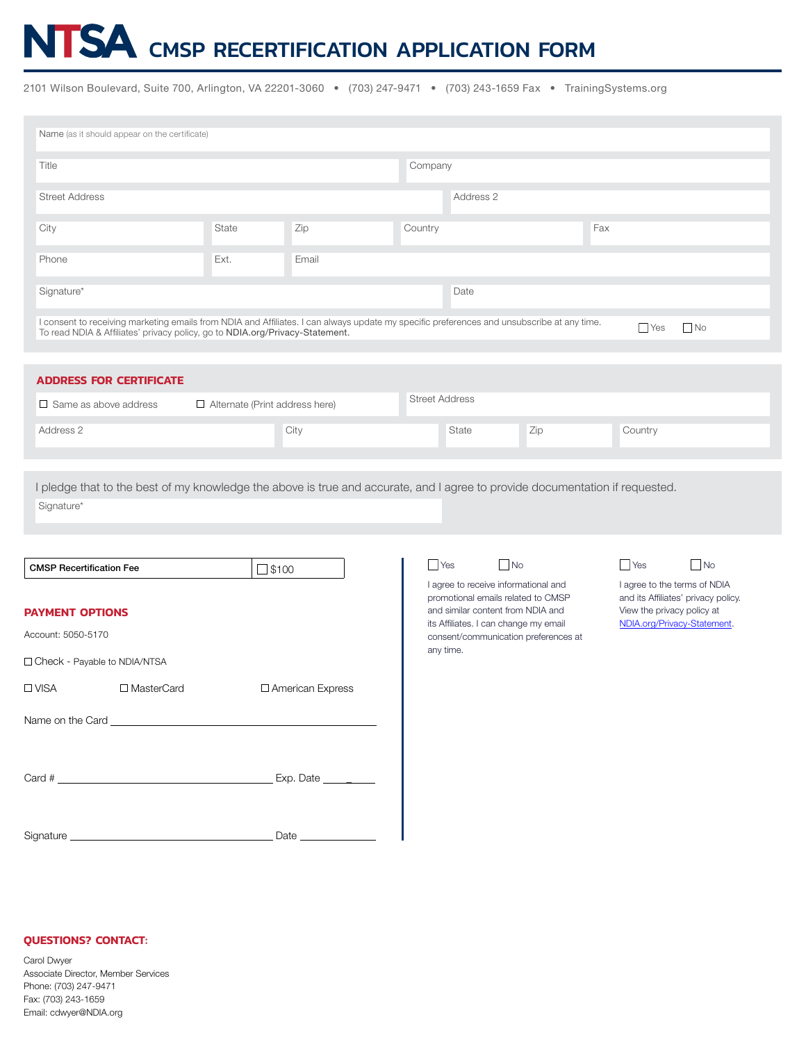# NTSA CMSP RECERTIFICATION APPLICATION FORM

2101 Wilson Boulevard, Suite 700, Arlington, VA 22201-3060 • (703) 247-9471 • (703) 243-1659 Fax • TrainingSystems.org

| Name (as it should appear on the certificate)                                                                                                                                                                                                         |       |       |           |       |     |     |         |  |
|-------------------------------------------------------------------------------------------------------------------------------------------------------------------------------------------------------------------------------------------------------|-------|-------|-----------|-------|-----|-----|---------|--|
| Title                                                                                                                                                                                                                                                 |       |       | Company   |       |     |     |         |  |
| <b>Street Address</b>                                                                                                                                                                                                                                 |       |       | Address 2 |       |     |     |         |  |
| City                                                                                                                                                                                                                                                  | State | Zip   | Country   |       |     | Fax |         |  |
| Phone                                                                                                                                                                                                                                                 | Ext.  | Email |           |       |     |     |         |  |
| Signature*                                                                                                                                                                                                                                            |       |       |           | Date  |     |     |         |  |
| I consent to receiving marketing emails from NDIA and Affiliates. I can always update my specific preferences and unsubscribe at any time.<br>$\Box$ Yes<br>$\Box$ No<br>To read NDIA & Affiliates' privacy policy, go to NDIA.org/Privacy-Statement. |       |       |           |       |     |     |         |  |
| <b>ADDRESS FOR CERTIFICATE</b>                                                                                                                                                                                                                        |       |       |           |       |     |     |         |  |
| <b>Street Address</b><br>$\Box$ Same as above address<br>$\Box$ Alternate (Print address here)                                                                                                                                                        |       |       |           |       |     |     |         |  |
| Address 2                                                                                                                                                                                                                                             |       | City  |           | State | Zip |     | Country |  |

I pledge that to the best of my knowledge the above is true and accurate, and I agree to provide documentation if requested. Signature\*

| <b>CMSP Recertification Fee</b> |                                                                                                                                                                                                                                | $\Box$ \$100                                                                                                    |
|---------------------------------|--------------------------------------------------------------------------------------------------------------------------------------------------------------------------------------------------------------------------------|-----------------------------------------------------------------------------------------------------------------|
| <b>PAYMENT OPTIONS</b>          |                                                                                                                                                                                                                                |                                                                                                                 |
| Account: 5050-5170              |                                                                                                                                                                                                                                |                                                                                                                 |
| □ Check - Payable to NDIA/NTSA  |                                                                                                                                                                                                                                |                                                                                                                 |
| $\Box$ VISA                     | □ MasterCard                                                                                                                                                                                                                   | □ American Express                                                                                              |
|                                 |                                                                                                                                                                                                                                |                                                                                                                 |
|                                 |                                                                                                                                                                                                                                |                                                                                                                 |
|                                 | $Card \#$                                                                                                                                                                                                                      | Exp. Date __________                                                                                            |
|                                 |                                                                                                                                                                                                                                |                                                                                                                 |
|                                 | Signature experience and the state of the state of the state of the state of the state of the state of the state of the state of the state of the state of the state of the state of the state of the state of the state of th | Date and the state of the state of the state of the state of the state of the state of the state of the state o |

#### **QUESTIONS? CONTACT:**

Carol Dwyer Associate Director, Member Services Phone: (703) 247-9471 Fax: (703) 243-1659 Email: cdwyer@NDIA.org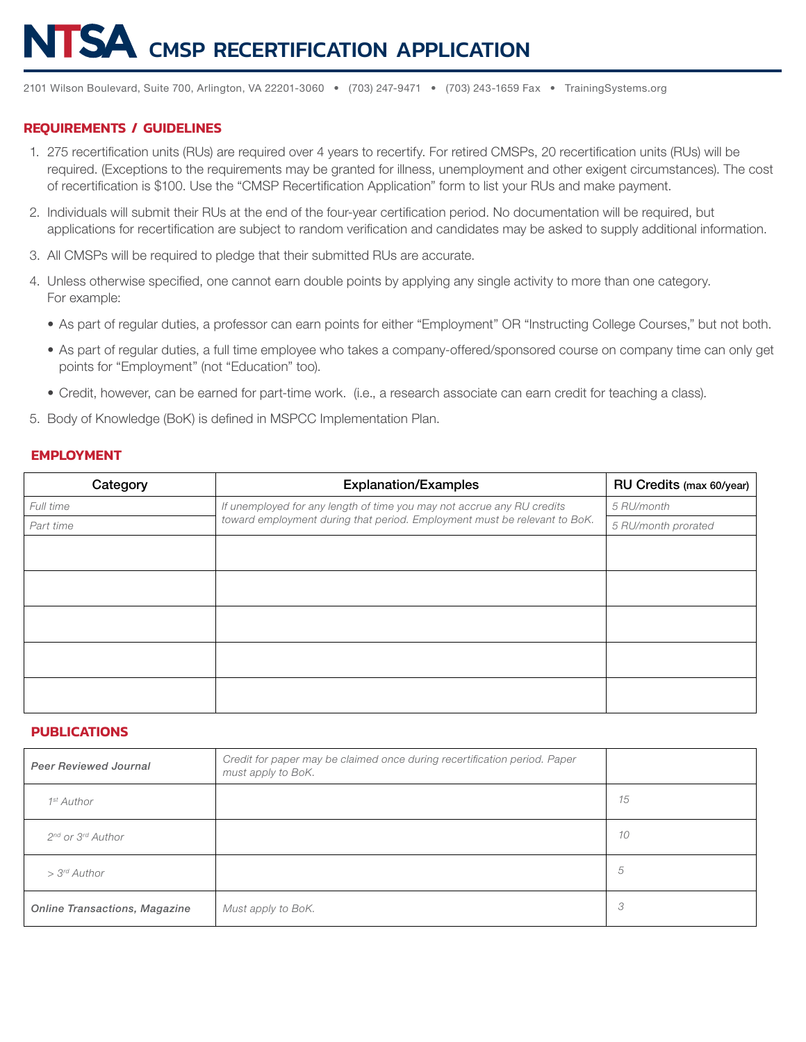# TSA CMSP RECERTIFICATION APPLICATION

2101 Wilson Boulevard, Suite 700, Arlington, VA 22201-3060 • (703) 247-9471 • (703) 243-1659 Fax • TrainingSystems.org

### **REQUIREMENTS / GUIDELINES**

- 1. 275 recertification units (RUs) are required over 4 years to recertify. For retired CMSPs, 20 recertification units (RUs) will be required. (Exceptions to the requirements may be granted for illness, unemployment and other exigent circumstances). The cost of recertification is \$100. Use the "CMSP Recertification Application" form to list your RUs and make payment.
- 2. Individuals will submit their RUs at the end of the four-year certification period. No documentation will be required, but applications for recertification are subject to random verification and candidates may be asked to supply additional information.
- 3. All CMSPs will be required to pledge that their submitted RUs are accurate.
- 4. Unless otherwise specified, one cannot earn double points by applying any single activity to more than one category. For example:
	- As part of regular duties, a professor can earn points for either "Employment" OR "Instructing College Courses," but not both.
	- As part of regular duties, a full time employee who takes a company-offered/sponsored course on company time can only get points for "Employment" (not "Education" too).
	- Credit, however, can be earned for part-time work. (i.e., a research associate can earn credit for teaching a class).
- 5. Body of Knowledge (BoK) is defined in MSPCC Implementation Plan.

#### **EMPLOYMENT**

| Category  | <b>Explanation/Examples</b>                                               | RU Credits (max 60/year) |
|-----------|---------------------------------------------------------------------------|--------------------------|
| Full time | If unemployed for any length of time you may not accrue any RU credits    | 5 RU/month               |
| Part time | toward employment during that period. Employment must be relevant to BoK. | 5 RU/month prorated      |
|           |                                                                           |                          |
|           |                                                                           |                          |
|           |                                                                           |                          |
|           |                                                                           |                          |
|           |                                                                           |                          |

## **PUBLICATIONS**

| <b>Peer Reviewed Journal</b>              | Credit for paper may be claimed once during recertification period. Paper<br>must apply to BoK. |    |
|-------------------------------------------|-------------------------------------------------------------------------------------------------|----|
| 1 <sup>st</sup> Author                    |                                                                                                 | 15 |
| 2 <sup>nd</sup> or 3 <sup>rd</sup> Author |                                                                                                 | 10 |
| > 3rd Author                              |                                                                                                 | 5  |
| <b>Online Transactions, Magazine</b>      | Must apply to BoK.                                                                              | 3  |